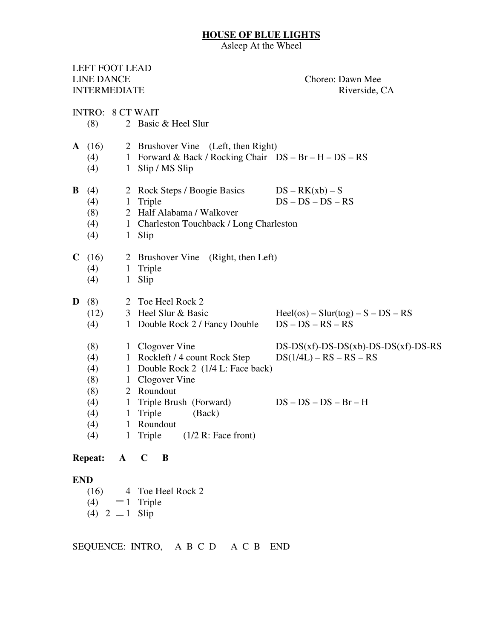## **HOUSE OF BLUE LIGHTS**

Asleep At the Wheel

|                     |                | LEFT FOOT LEAD          |                  |   |                           |                                          |                                                        |
|---------------------|----------------|-------------------------|------------------|---|---------------------------|------------------------------------------|--------------------------------------------------------|
| <b>LINE DANCE</b>   |                |                         |                  |   |                           |                                          | Choreo: Dawn Mee                                       |
| <b>INTERMEDIATE</b> |                |                         |                  |   |                           |                                          | Riverside, CA                                          |
|                     |                |                         |                  |   |                           |                                          |                                                        |
|                     |                | <b>INTRO: 8 CT WAIT</b> |                  |   |                           |                                          |                                                        |
|                     | (8)            |                         |                  |   | 2 Basic & Heel Slur       |                                          |                                                        |
|                     | A(16)          |                         |                  |   |                           | 2 Brushover Vine (Left, then Right)      |                                                        |
|                     | (4)            |                         |                  |   |                           |                                          | 1 Forward & Back / Rocking Chair DS - Br - H - DS - RS |
|                     | (4)            |                         | 1 Slip / MS Slip |   |                           |                                          |                                                        |
| B                   | (4)            |                         |                  |   |                           | 2 Rock Steps / Boogie Basics             | $DS - RK(xb) - S$                                      |
|                     | (4)            |                         | 1 Triple         |   |                           |                                          | $DS - DS - DS - RS$                                    |
|                     | (8)            |                         |                  |   | 2 Half Alabama / Walkover |                                          |                                                        |
|                     | (4)            |                         |                  |   |                           | 1 Charleston Touchback / Long Charleston |                                                        |
|                     | (4)            |                         | 1 Slip           |   |                           |                                          |                                                        |
|                     | C(16)          |                         |                  |   | 2 Brushover Vine          | (Right, then Left)                       |                                                        |
|                     | (4)            |                         | 1 Triple         |   |                           |                                          |                                                        |
|                     | (4)            | 1                       | Slip             |   |                           |                                          |                                                        |
| D                   | (8)            |                         |                  |   | 2 Toe Heel Rock 2         |                                          |                                                        |
|                     | (12)           |                         |                  |   | 3 Heel Slur & Basic       |                                          | $Heel(os) - Slur(tog) - S - DS - RS$                   |
|                     | (4)            |                         |                  |   |                           | 1 Double Rock 2 / Fancy Double           | $DS - DS - RS - RS$                                    |
|                     | (8)            |                         | 1 Clogover Vine  |   |                           |                                          | $DS-DS(xf)$ -DS-DS(xb)-DS-DS(xf)-DS-RS                 |
|                     | (4)            |                         |                  |   |                           | 1 Rockleft / 4 count Rock Step           | $DS(1/4L) - RS - RS - RS$                              |
|                     | (4)            |                         |                  |   |                           | 1 Double Rock 2 (1/4 L: Face back)       |                                                        |
|                     | (8)            |                         | 1 Clogover Vine  |   |                           |                                          |                                                        |
|                     | (8)            |                         | 2 Roundout       |   |                           |                                          |                                                        |
|                     | (4)            |                         |                  |   | 1 Triple Brush (Forward)  |                                          | $DS - DS - DS - Br - H$                                |
|                     | (4)            |                         | 1 Triple         |   | (Back)                    |                                          |                                                        |
|                     | (4)            |                         | 1 Roundout       |   |                           |                                          |                                                        |
|                     | (4)            | $\mathbf{1}$            | Triple           |   |                           | $(1/2 \text{ R}$ : Face front)           |                                                        |
|                     | <b>Repeat:</b> | $\mathbf{A}$            | $\mathbf C$      | B |                           |                                          |                                                        |
| <b>END</b>          |                |                         |                  |   |                           |                                          |                                                        |

- (16) 4 Toe Heel Rock 2
- (4)  $\Box$  1 Triple
- (4) 2  $\Box$  1 Slip

SEQUENCE: INTRO, A B C D A C B END